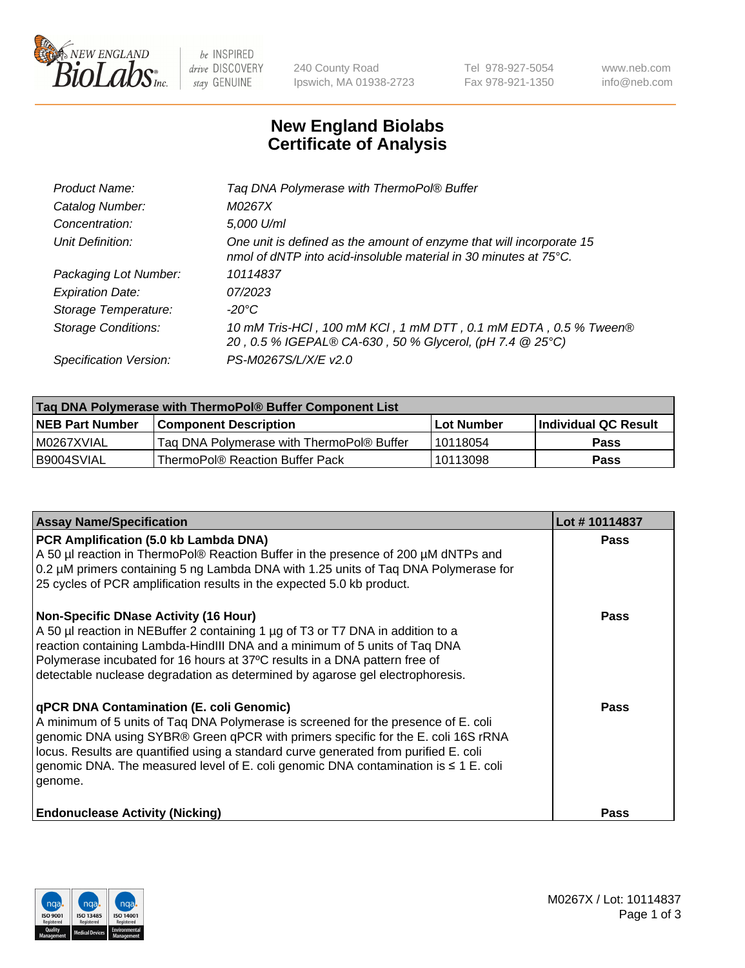

be INSPIRED drive DISCOVERY stay GENUINE

240 County Road Ipswich, MA 01938-2723 Tel 978-927-5054 Fax 978-921-1350 www.neb.com info@neb.com

## **New England Biolabs Certificate of Analysis**

| Tag DNA Polymerase with ThermoPol® Buffer                                                                                                |
|------------------------------------------------------------------------------------------------------------------------------------------|
| M0267X                                                                                                                                   |
| 5,000 U/ml                                                                                                                               |
| One unit is defined as the amount of enzyme that will incorporate 15<br>nmol of dNTP into acid-insoluble material in 30 minutes at 75°C. |
| 10114837                                                                                                                                 |
| 07/2023                                                                                                                                  |
| $-20^{\circ}$ C                                                                                                                          |
| 10 mM Tris-HCl, 100 mM KCl, 1 mM DTT, 0.1 mM EDTA, 0.5 % Tween®<br>20, 0.5 % IGEPAL® CA-630, 50 % Glycerol, (pH 7.4 @ 25°C)              |
| PS-M0267S/L/X/E v2.0                                                                                                                     |
|                                                                                                                                          |

| Taq DNA Polymerase with ThermoPol® Buffer Component List |                                           |                   |                      |  |
|----------------------------------------------------------|-------------------------------------------|-------------------|----------------------|--|
| <b>NEB Part Number</b>                                   | <b>Component Description</b>              | <b>Lot Number</b> | Individual QC Result |  |
| I M0267XVIAL                                             | Tag DNA Polymerase with ThermoPol® Buffer | l 10118054        | Pass                 |  |
| B9004SVIAL                                               | ThermoPol® Reaction Buffer Pack           | 10113098          | Pass                 |  |

| <b>Assay Name/Specification</b>                                                                                                                                                                                                                                                                                                                                                                                    | Lot #10114837 |
|--------------------------------------------------------------------------------------------------------------------------------------------------------------------------------------------------------------------------------------------------------------------------------------------------------------------------------------------------------------------------------------------------------------------|---------------|
| PCR Amplification (5.0 kb Lambda DNA)<br>A 50 µl reaction in ThermoPol® Reaction Buffer in the presence of 200 µM dNTPs and<br>0.2 µM primers containing 5 ng Lambda DNA with 1.25 units of Taq DNA Polymerase for<br>25 cycles of PCR amplification results in the expected 5.0 kb product.                                                                                                                       | <b>Pass</b>   |
| <b>Non-Specific DNase Activity (16 Hour)</b><br>A 50 µl reaction in NEBuffer 2 containing 1 µg of T3 or T7 DNA in addition to a<br>reaction containing Lambda-HindIII DNA and a minimum of 5 units of Taq DNA<br>Polymerase incubated for 16 hours at 37°C results in a DNA pattern free of<br>detectable nuclease degradation as determined by agarose gel electrophoresis.                                       | Pass          |
| qPCR DNA Contamination (E. coli Genomic)<br>A minimum of 5 units of Tag DNA Polymerase is screened for the presence of E. coli<br>genomic DNA using SYBR® Green qPCR with primers specific for the E. coli 16S rRNA<br>locus. Results are quantified using a standard curve generated from purified E. coli<br>genomic DNA. The measured level of E. coli genomic DNA contamination is $\leq 1$ E. coli<br>genome. | <b>Pass</b>   |
| <b>Endonuclease Activity (Nicking)</b>                                                                                                                                                                                                                                                                                                                                                                             | Pass          |

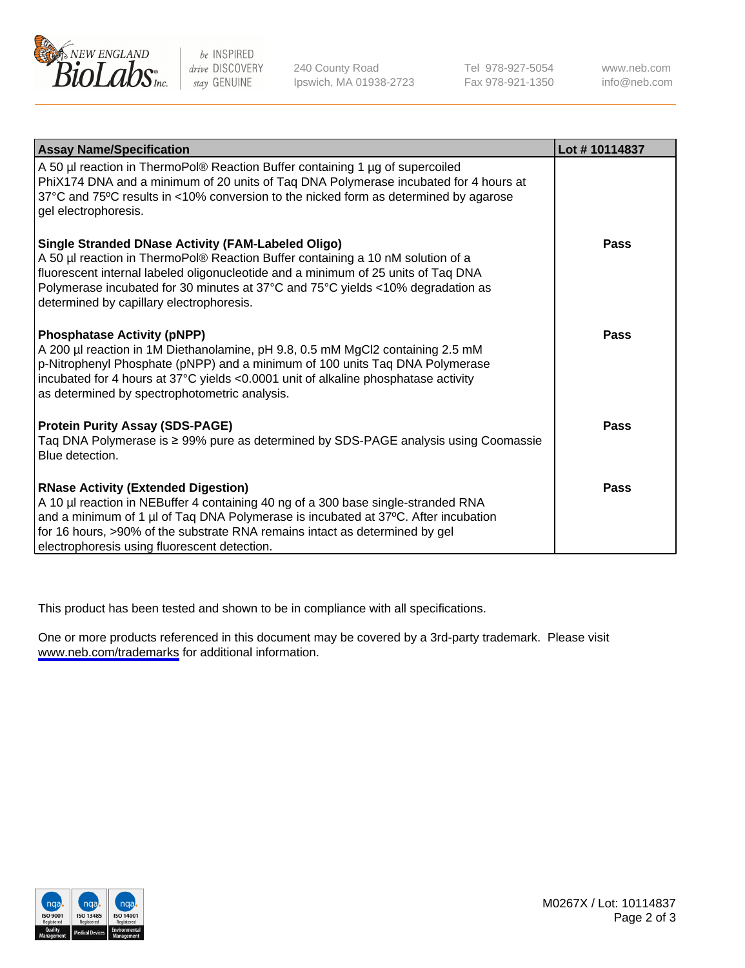

be INSPIRED drive DISCOVERY stay GENUINE

240 County Road Ipswich, MA 01938-2723 Tel 978-927-5054 Fax 978-921-1350

www.neb.com info@neb.com

| <b>Assay Name/Specification</b>                                                                                                                                                                                                                                                                                                                           | Lot #10114837 |
|-----------------------------------------------------------------------------------------------------------------------------------------------------------------------------------------------------------------------------------------------------------------------------------------------------------------------------------------------------------|---------------|
| A 50 µl reaction in ThermoPol® Reaction Buffer containing 1 µg of supercoiled<br>PhiX174 DNA and a minimum of 20 units of Taq DNA Polymerase incubated for 4 hours at<br>37°C and 75°C results in <10% conversion to the nicked form as determined by agarose<br>gel electrophoresis.                                                                     |               |
| Single Stranded DNase Activity (FAM-Labeled Oligo)<br>A 50 µl reaction in ThermoPol® Reaction Buffer containing a 10 nM solution of a<br>fluorescent internal labeled oligonucleotide and a minimum of 25 units of Taq DNA<br>Polymerase incubated for 30 minutes at 37°C and 75°C yields <10% degradation as<br>determined by capillary electrophoresis. | Pass          |
| <b>Phosphatase Activity (pNPP)</b><br>A 200 µl reaction in 1M Diethanolamine, pH 9.8, 0.5 mM MgCl2 containing 2.5 mM<br>p-Nitrophenyl Phosphate (pNPP) and a minimum of 100 units Taq DNA Polymerase<br>incubated for 4 hours at 37°C yields <0.0001 unit of alkaline phosphatase activity<br>as determined by spectrophotometric analysis.               | Pass          |
| <b>Protein Purity Assay (SDS-PAGE)</b><br>Taq DNA Polymerase is ≥ 99% pure as determined by SDS-PAGE analysis using Coomassie<br>Blue detection.                                                                                                                                                                                                          | Pass          |
| <b>RNase Activity (Extended Digestion)</b><br>A 10 µl reaction in NEBuffer 4 containing 40 ng of a 300 base single-stranded RNA<br>and a minimum of 1 µl of Taq DNA Polymerase is incubated at 37°C. After incubation<br>for 16 hours, >90% of the substrate RNA remains intact as determined by gel<br>electrophoresis using fluorescent detection.      | Pass          |

This product has been tested and shown to be in compliance with all specifications.

One or more products referenced in this document may be covered by a 3rd-party trademark. Please visit <www.neb.com/trademarks>for additional information.